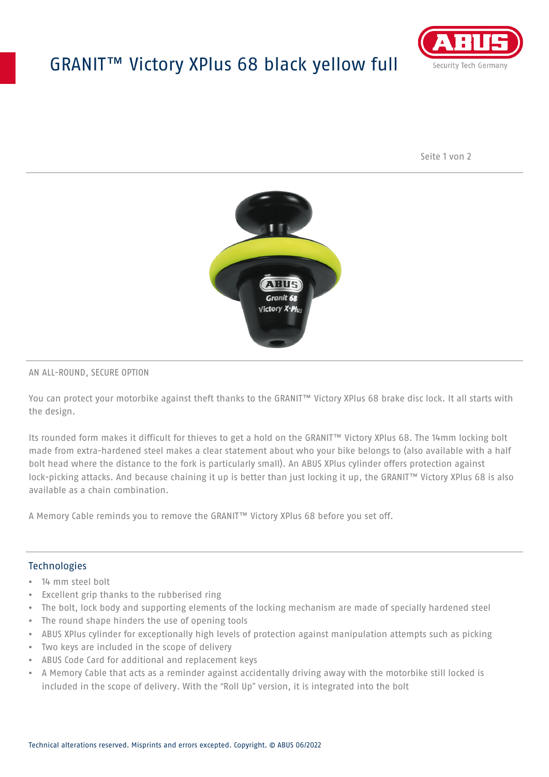## GRANIT™ Victory XPlus 68 black yellow full



Seite 1 von 2



### AN ALL-ROUND, SECURE OPTION

You can protect your motorbike against theft thanks to the GRANIT™ Victory XPlus 68 brake disc lock. It all starts with the design.

Its rounded form makes it difficult for thieves to get a hold on the GRANIT™ Victory XPlus 68. The 14mm locking bolt made from extra-hardened steel makes a clear statement about who your bike belongs to (also available with a half bolt head where the distance to the fork is particularly small). An ABUS XPlus cylinder offers protection against lock-picking attacks. And because chaining it up is better than just locking it up, the GRANIT™ Victory XPlus 68 is also available as a chain combination.

A Memory Cable reminds you to remove the GRANIT™ Victory XPlus 68 before you set off.

### **Technologies**

- 14 mm steel bolt
- Excellent grip thanks to the rubberised ring
- The bolt, lock body and supporting elements of the locking mechanism are made of specially hardened steel
- The round shape hinders the use of opening tools
- ABUS XPlus cylinder for exceptionally high levels of protection against manipulation attempts such as picking
- Two keys are included in the scope of delivery
- ABUS Code Card for additional and replacement keys
- A Memory Cable that acts as a reminder against accidentally driving away with the motorbike still locked is included in the scope of delivery. With the "Roll Up" version, it is integrated into the bolt